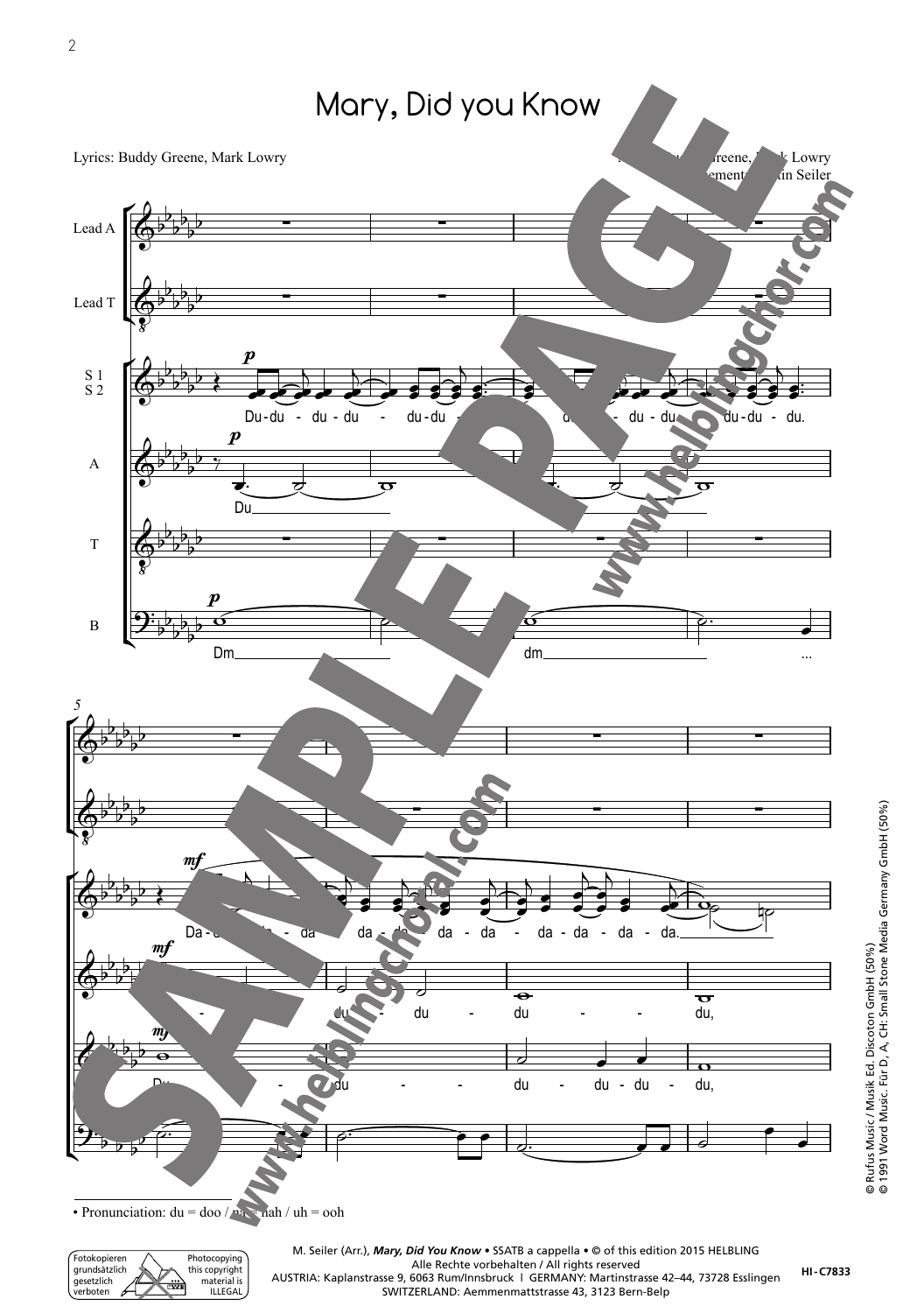



**HI-C7833** M. Seiler (Arr.), *Mary, Did You Know •* SSATB a cappella *•* © of this edition 2015 Helbling Alle Rechte vorbehalten / All rights reserved Austria: Kaplanstrasse 9, 6063 Rum/Innsbruck | GERMANY: Martinstrasse 42–44, 73728 Esslingen SWITZERLAND: Aemmenmattstrasse 43, 3123 Bern-Belp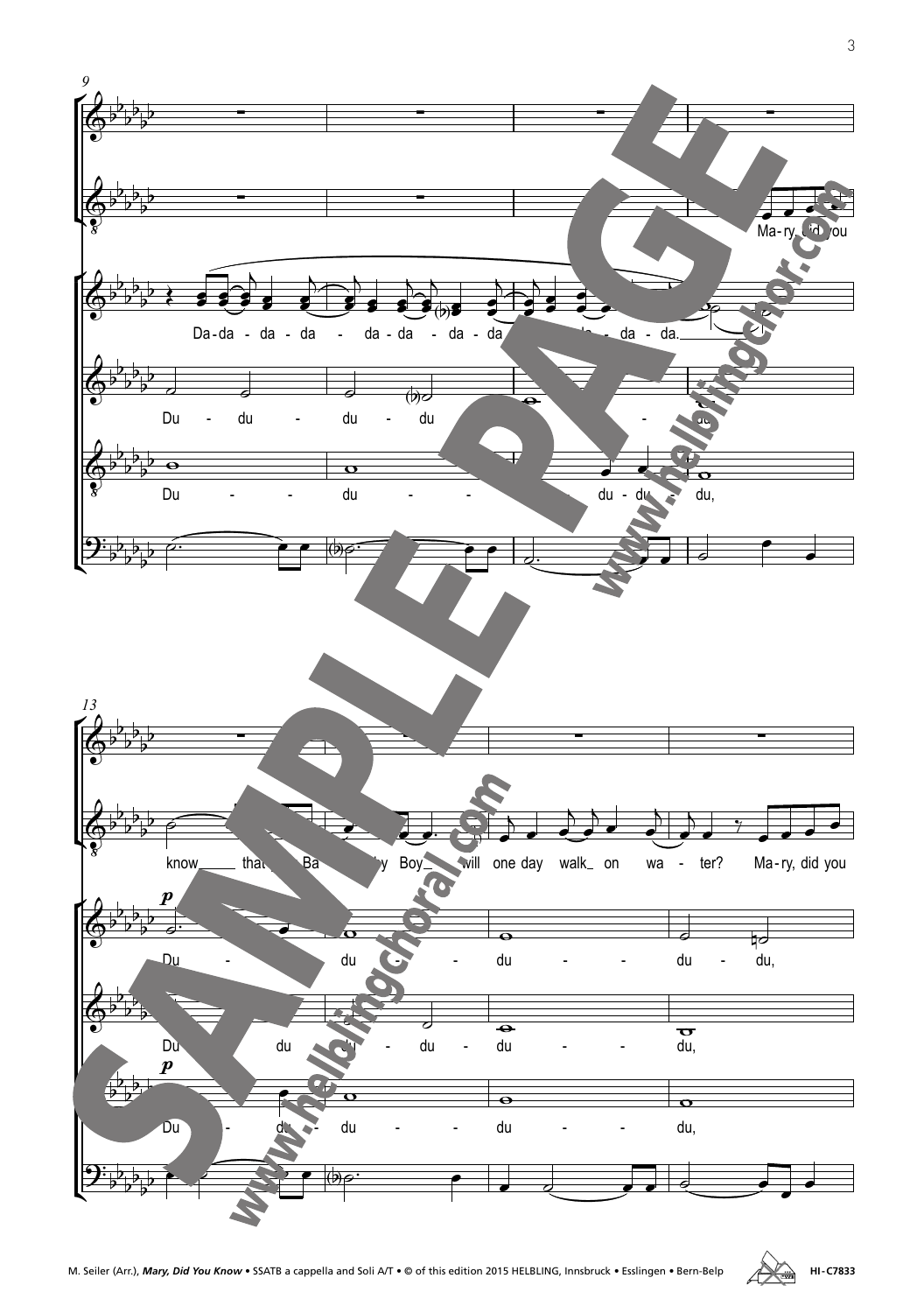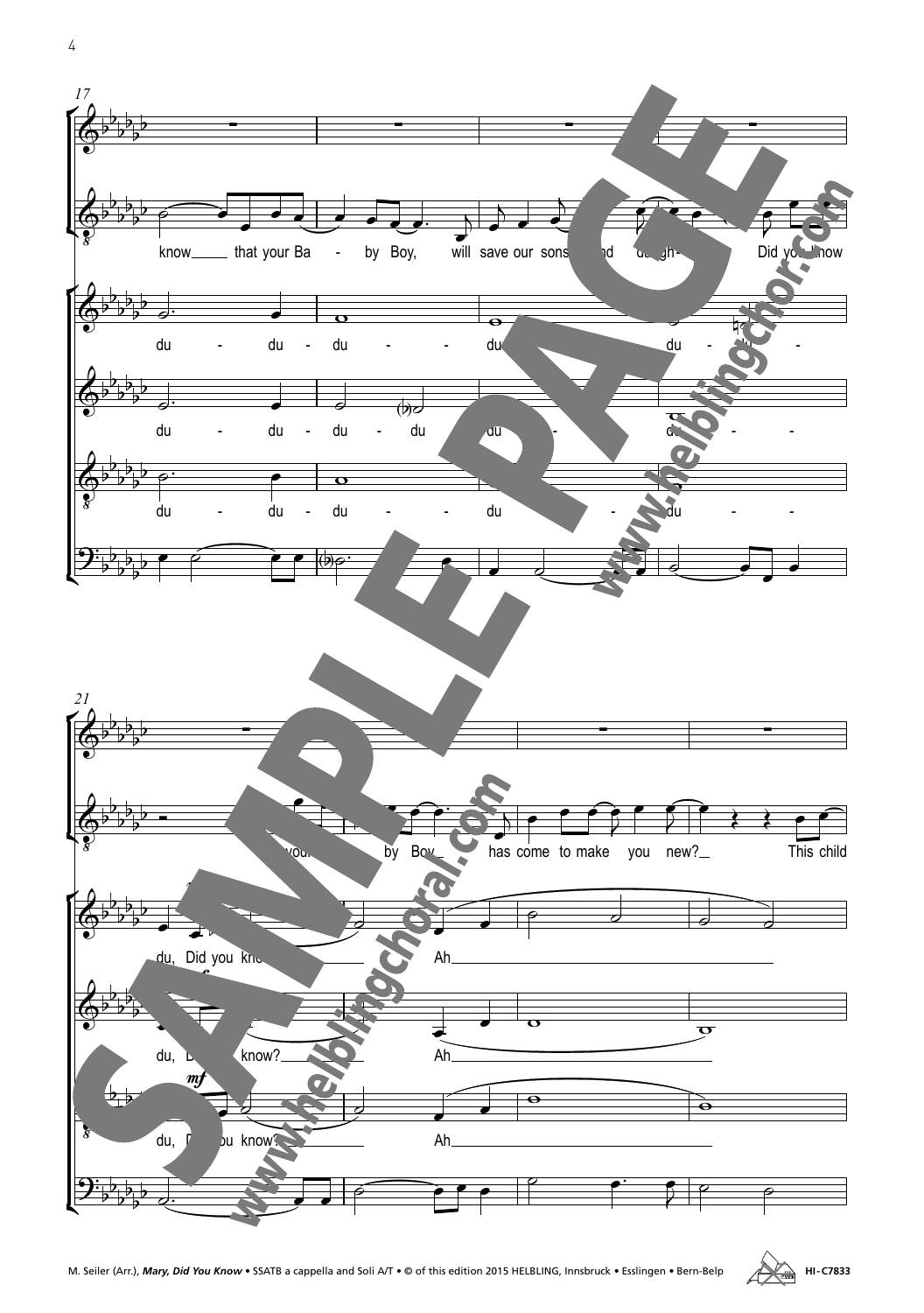

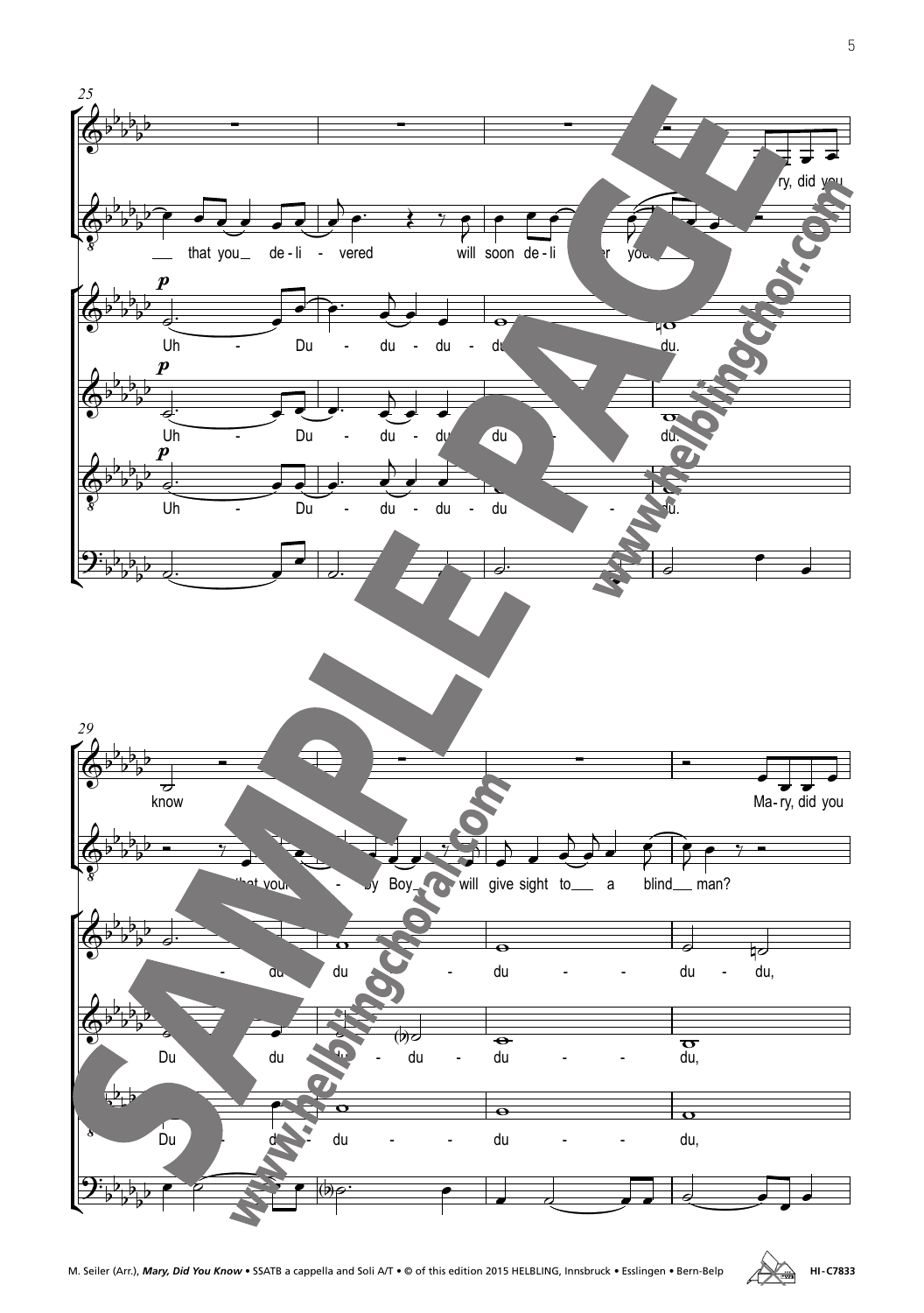

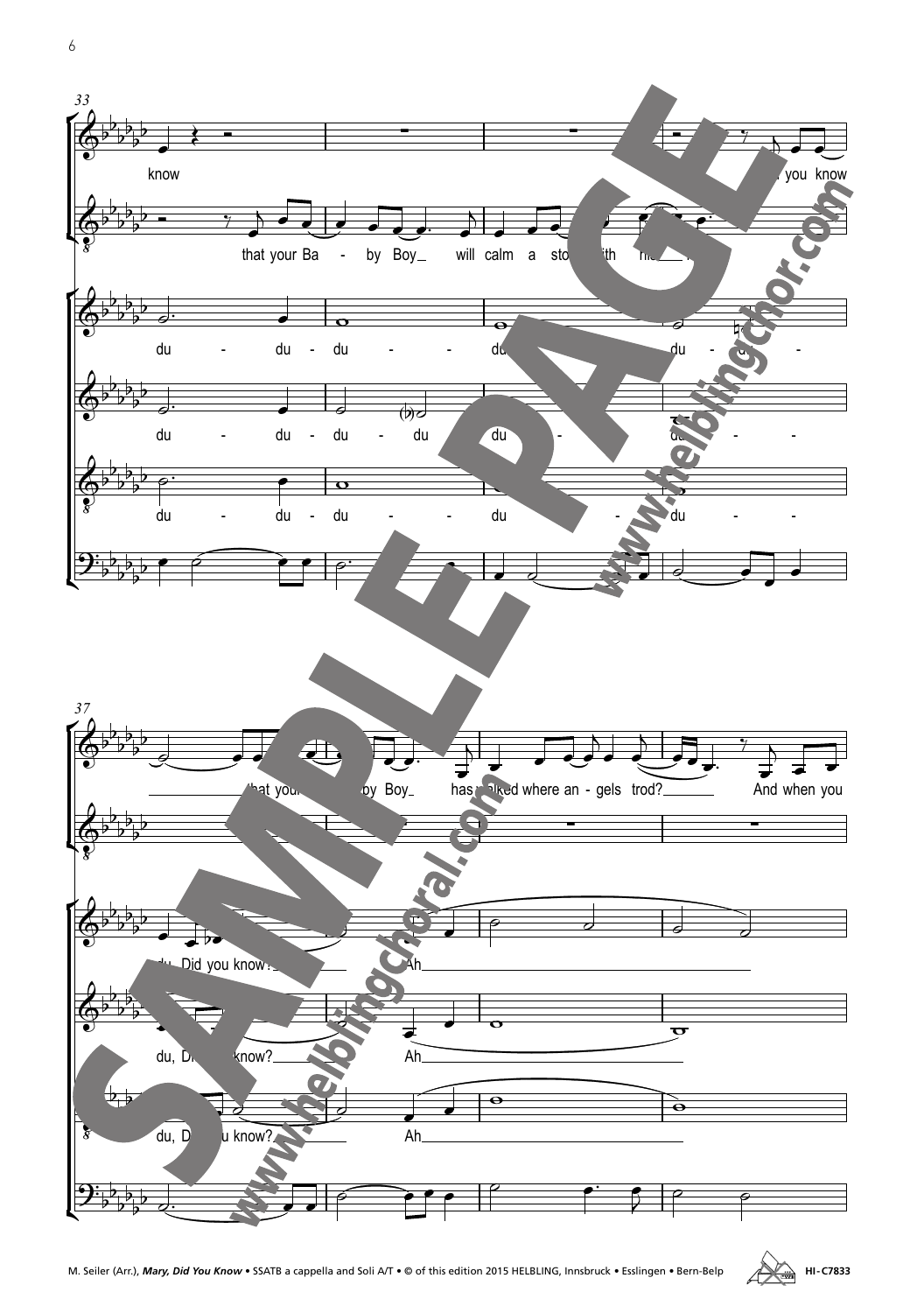

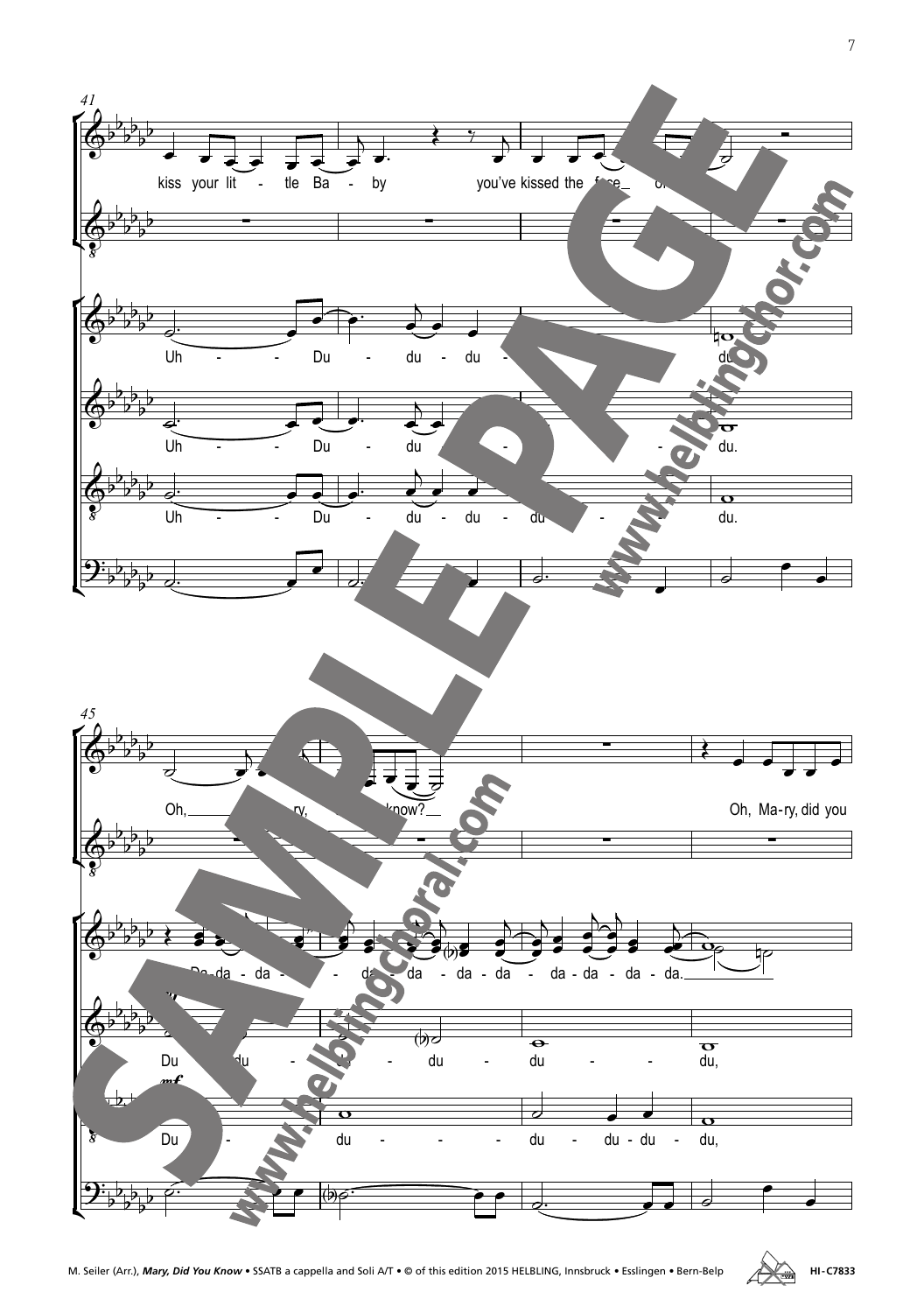

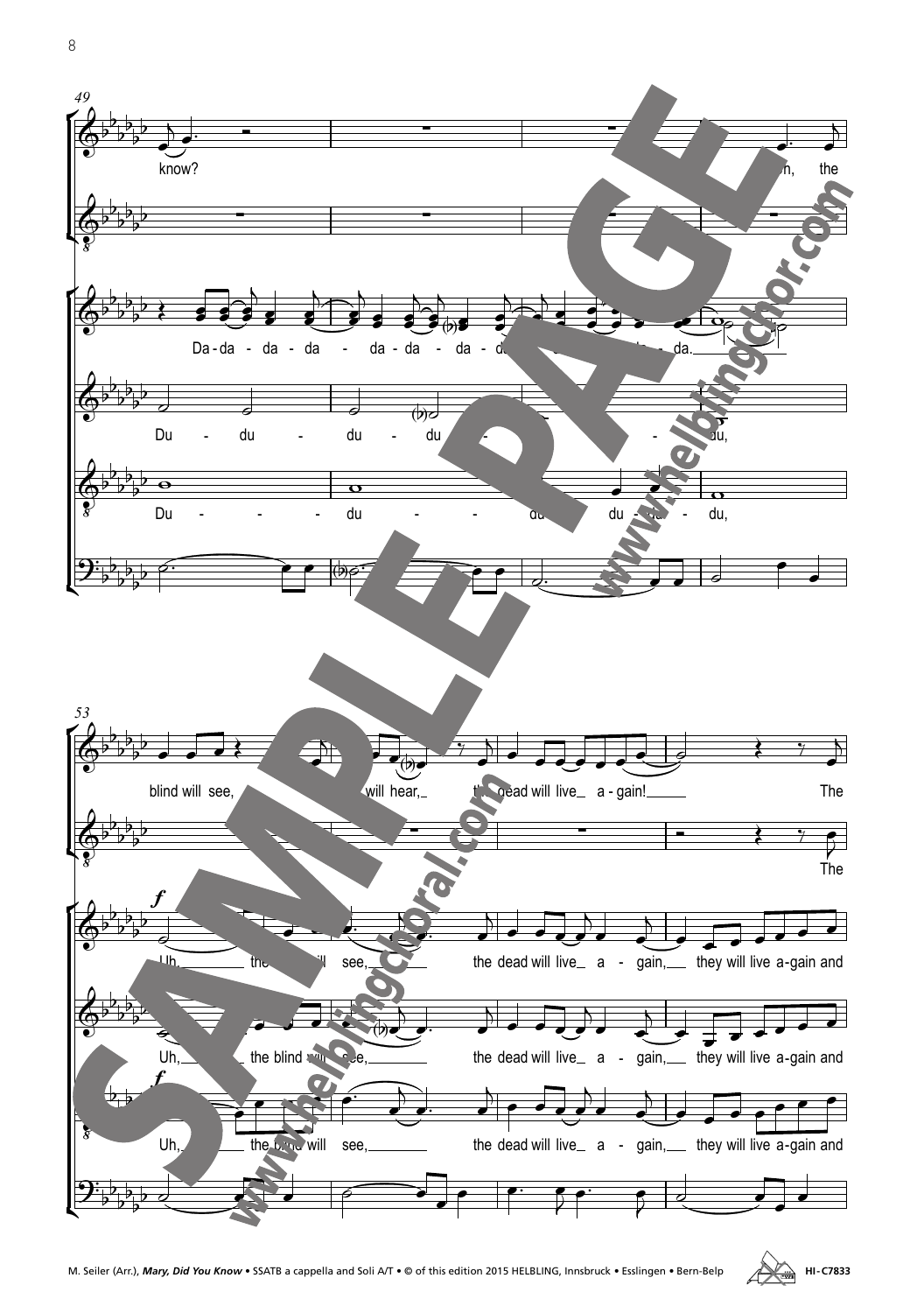

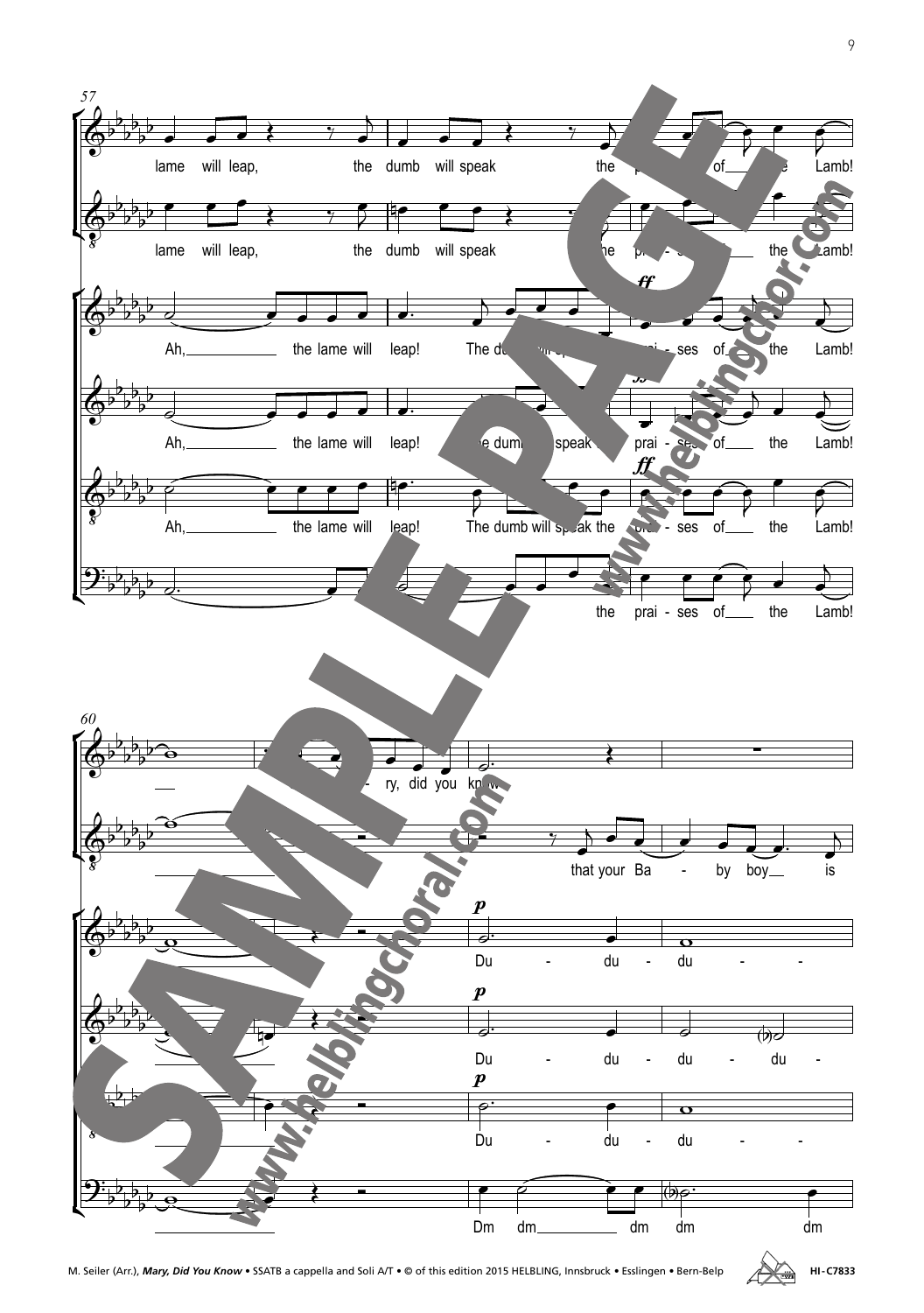

M. Seiler (Arr.), *Mary, Did You Know •* SSATB a cappella and Soli A/T *•* © of this edition 2015 Helbling, Innsbruck *•* Esslingen *•* Bern-Belp **HI-C7833**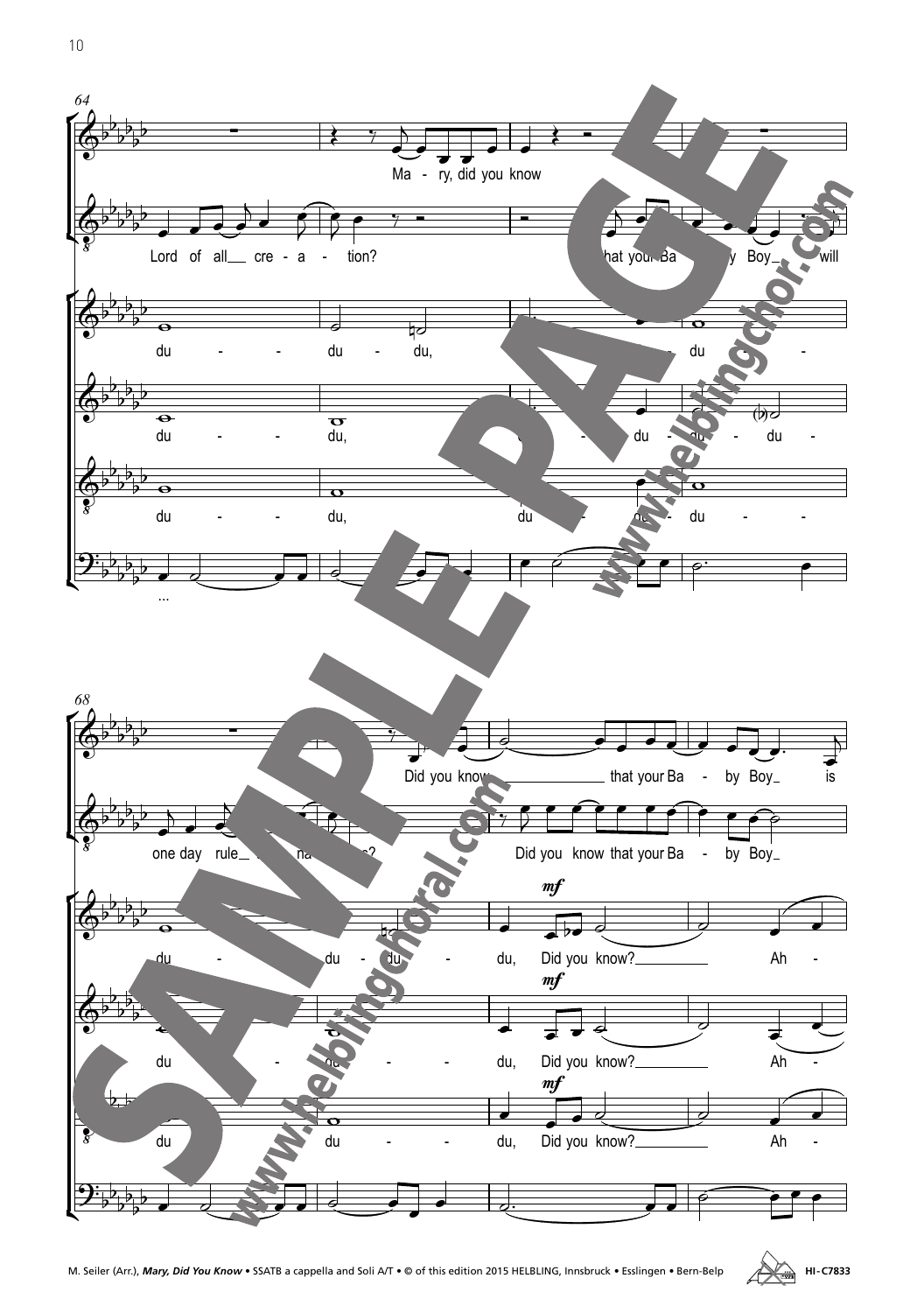

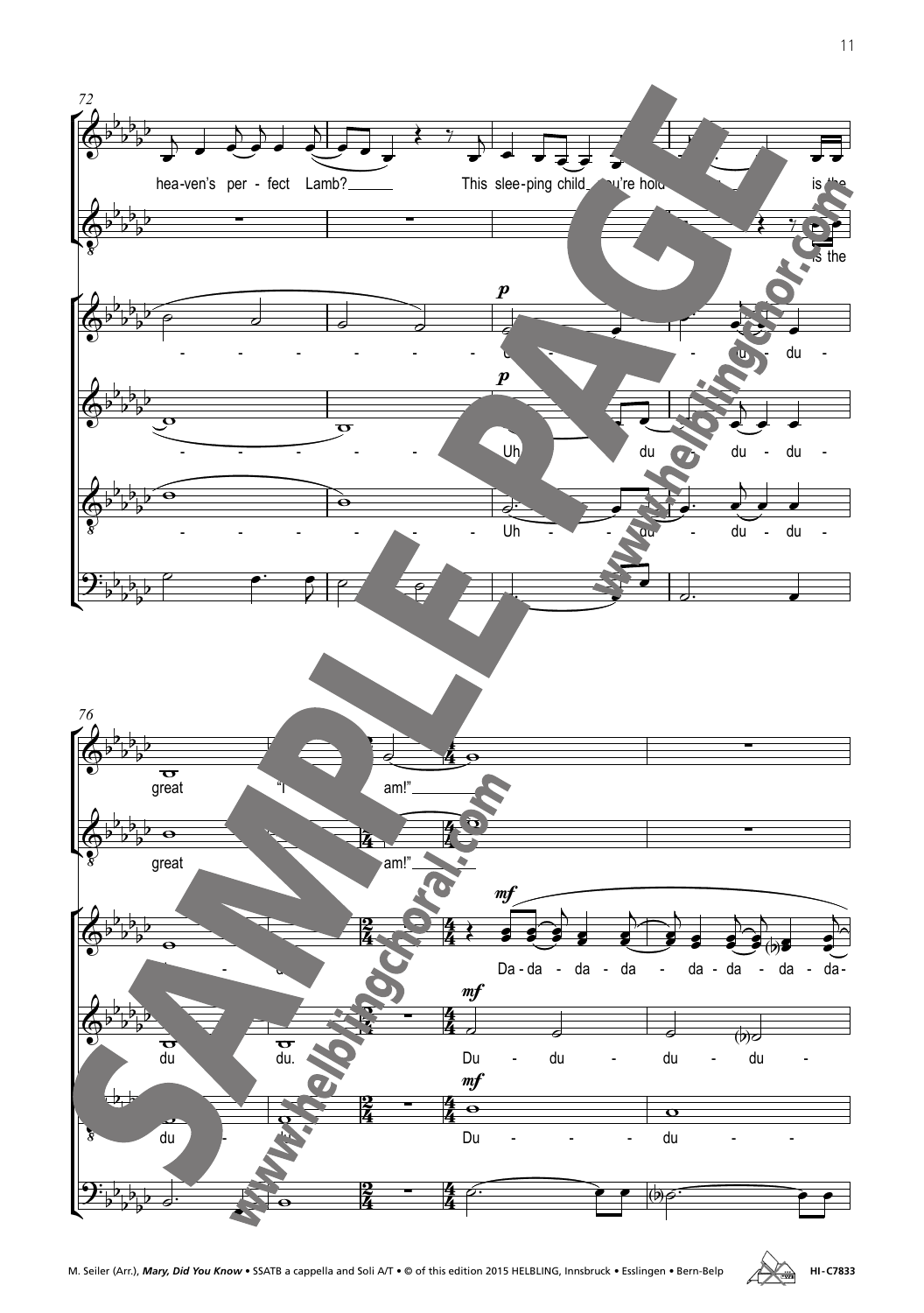